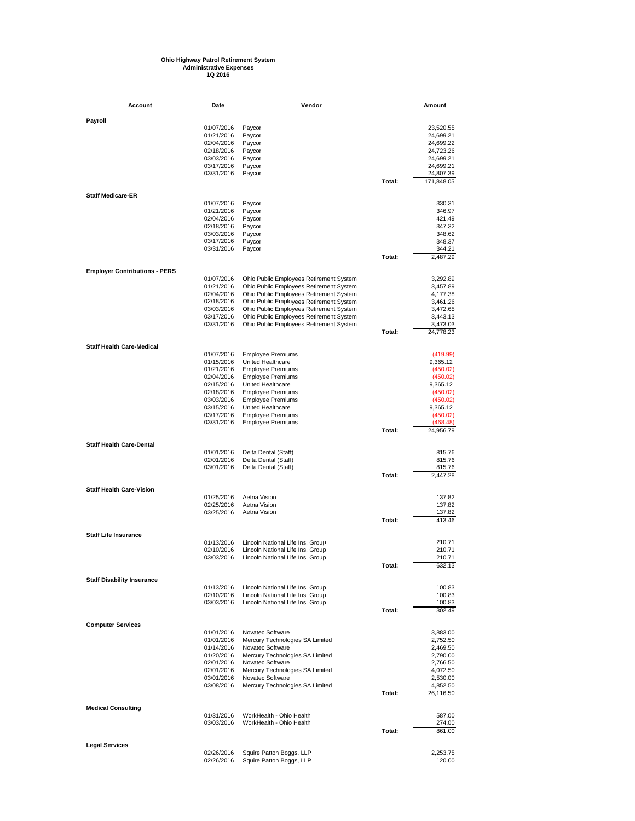## **Ohio Highway Patrol Retirement System Administrative Expenses 1Q 2016**

| Account                              | Date                     | Vendor                                                                             |        | Amount                  |
|--------------------------------------|--------------------------|------------------------------------------------------------------------------------|--------|-------------------------|
| Payroll                              |                          |                                                                                    |        |                         |
|                                      | 01/07/2016               | Paycor                                                                             |        | 23,520.55               |
|                                      | 01/21/2016               | Paycor                                                                             |        | 24,699.21               |
|                                      | 02/04/2016               | Paycor                                                                             |        | 24,699.22               |
|                                      | 02/18/2016               | Paycor                                                                             |        | 24,723.26               |
|                                      | 03/03/2016               | Paycor                                                                             |        | 24,699.21               |
|                                      | 03/17/2016               | Paycor                                                                             |        | 24,699.21               |
|                                      | 03/31/2016               | Paycor                                                                             | Total: | 24,807.39<br>171,848.05 |
|                                      |                          |                                                                                    |        |                         |
| <b>Staff Medicare-ER</b>             | 01/07/2016               | Paycor                                                                             |        | 330.31                  |
|                                      | 01/21/2016               | Paycor                                                                             |        | 346.97                  |
|                                      | 02/04/2016               | Paycor                                                                             |        | 421.49                  |
|                                      | 02/18/2016               | Paycor                                                                             |        | 347.32                  |
|                                      | 03/03/2016<br>03/17/2016 | Paycor<br>Paycor                                                                   |        | 348.62<br>348.37        |
|                                      | 03/31/2016               | Paycor                                                                             |        | 344.21                  |
|                                      |                          |                                                                                    | Total: | 2,487.29                |
| <b>Employer Contributions - PERS</b> |                          |                                                                                    |        |                         |
|                                      | 01/07/2016               | Ohio Public Employees Retirement System                                            |        | 3,292.89                |
|                                      | 01/21/2016<br>02/04/2016 | Ohio Public Employees Retirement System<br>Ohio Public Employees Retirement System |        | 3,457.89<br>4,177.38    |
|                                      | 02/18/2016               | Ohio Public Employees Retirement System                                            |        | 3,461.26                |
|                                      | 03/03/2016               | Ohio Public Employees Retirement System                                            |        | 3,472.65                |
|                                      | 03/17/2016               | Ohio Public Employees Retirement System                                            |        | 3,443.13                |
|                                      | 03/31/2016               | Ohio Public Employees Retirement System                                            | Total: | 3,473.03<br>24,778.23   |
|                                      |                          |                                                                                    |        |                         |
| <b>Staff Health Care-Medical</b>     | 01/07/2016               | <b>Employee Premiums</b>                                                           |        | (419.99)                |
|                                      | 01/15/2016               | United Healthcare                                                                  |        | 9,365.12                |
|                                      | 01/21/2016               | <b>Employee Premiums</b>                                                           |        | (450.02)                |
|                                      | 02/04/2016               | <b>Employee Premiums</b>                                                           |        | (450.02)                |
|                                      | 02/15/2016               | United Healthcare                                                                  |        | 9,365.12                |
|                                      | 02/18/2016<br>03/03/2016 | <b>Employee Premiums</b><br><b>Employee Premiums</b>                               |        | (450.02)<br>(450.02)    |
|                                      | 03/15/2016               | United Healthcare                                                                  |        | 9,365.12                |
|                                      | 03/17/2016               | <b>Employee Premiums</b>                                                           |        | (450.02)                |
|                                      | 03/31/2016               | <b>Employee Premiums</b>                                                           |        | (468.48)                |
|                                      |                          |                                                                                    | Total: | 24,956.79               |
| <b>Staff Health Care-Dental</b>      | 01/01/2016               | Delta Dental (Staff)                                                               |        | 815.76                  |
|                                      | 02/01/2016               | Delta Dental (Staff)                                                               |        | 815.76                  |
|                                      | 03/01/2016               | Delta Dental (Staff)                                                               |        | 815.76                  |
|                                      |                          |                                                                                    | Total: | 2,447.28                |
| <b>Staff Health Care-Vision</b>      |                          |                                                                                    |        |                         |
|                                      | 01/25/2016               | Aetna Vision                                                                       |        | 137.82                  |
|                                      | 02/25/2016               | Aetna Vision<br>Aetna Vision                                                       |        | 137.82                  |
|                                      | 03/25/2016               |                                                                                    | Total: | 137.82<br>413.46        |
| <b>Staff Life Insurance</b>          |                          |                                                                                    |        |                         |
|                                      | 01/13/2016               | Lincoln National Life Ins. Group                                                   |        | 210.71                  |
|                                      | 02/10/2016               | Lincoln National Life Ins. Group                                                   |        | 210.71                  |
|                                      | 03/03/2016               | Lincoln National Life Ins. Group                                                   |        | 210.71                  |
|                                      |                          |                                                                                    | Total: | 632.13                  |
| <b>Staff Disability Insurance</b>    | 01/13/2016               | Lincoln National Life Ins. Group                                                   |        | 100.83                  |
|                                      | 02/10/2016               | Lincoln National Life Ins. Group                                                   |        | 100.83                  |
|                                      | 03/03/2016               | Lincoln National Life Ins. Group                                                   |        | 100.83                  |
|                                      |                          |                                                                                    | Total: | 302.49                  |
| <b>Computer Services</b>             | 01/01/2016               | Novatec Software                                                                   |        | 3,883.00                |
|                                      | 01/01/2016               | Mercury Technologies SA Limited                                                    |        | 2,752.50                |
|                                      | 01/14/2016               | Novatec Software                                                                   |        | 2,469.50                |
|                                      | 01/20/2016               | Mercury Technologies SA Limited                                                    |        | 2,790.00                |
|                                      | 02/01/2016               | Novatec Software                                                                   |        | 2,766.50                |
|                                      | 02/01/2016<br>03/01/2016 | Mercury Technologies SA Limited<br>Novatec Software                                |        | 4,072.50<br>2,530.00    |
|                                      | 03/08/2016               | Mercury Technologies SA Limited                                                    |        | 4,852.50                |
|                                      |                          |                                                                                    | Total: | 26,116.50               |
| <b>Medical Consulting</b>            |                          |                                                                                    |        |                         |
|                                      | 01/31/2016<br>03/03/2016 | WorkHealth - Ohio Health<br>WorkHealth - Ohio Health                               |        | 587.00<br>274.00        |
|                                      |                          |                                                                                    | Total: | 861.00                  |
| <b>Legal Services</b>                |                          |                                                                                    |        |                         |
|                                      | 02/26/2016<br>02/26/2016 | Squire Patton Boggs, LLP<br>Squire Patton Boggs, LLP                               |        | 2,253.75<br>120.00      |
|                                      |                          |                                                                                    |        |                         |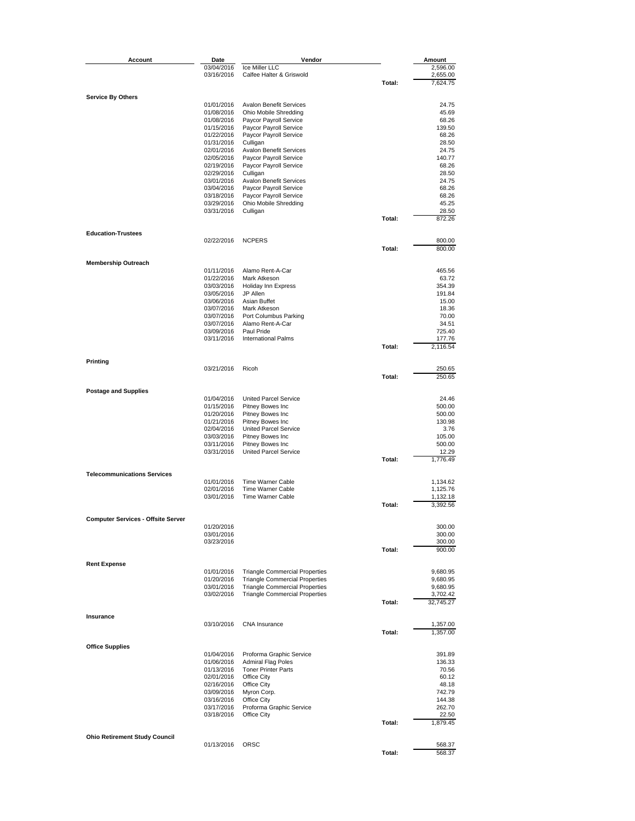| Account                                   | Date                     | Vendor                                                                         |        | Amount               |
|-------------------------------------------|--------------------------|--------------------------------------------------------------------------------|--------|----------------------|
|                                           | 03/04/2016               | Ice Miller LLC                                                                 |        | 2,596.00             |
|                                           | 03/16/2016               | Calfee Halter & Griswold                                                       |        | 2,655.00             |
|                                           |                          |                                                                                | Total: | 7,624.75             |
| <b>Service By Others</b>                  |                          |                                                                                |        |                      |
|                                           | 01/01/2016               | <b>Avalon Benefit Services</b>                                                 |        | 24.75                |
|                                           | 01/08/2016               | Ohio Mobile Shredding                                                          |        | 45.69                |
|                                           | 01/08/2016               | Paycor Payroll Service                                                         |        | 68.26                |
|                                           | 01/15/2016               | Paycor Payroll Service                                                         |        | 139.50               |
|                                           | 01/22/2016               | Paycor Payroll Service                                                         |        | 68.26                |
|                                           | 01/31/2016               | Culligan                                                                       |        | 28.50                |
|                                           | 02/01/2016<br>02/05/2016 | <b>Avalon Benefit Services</b><br>Paycor Payroll Service                       |        | 24.75<br>140.77      |
|                                           | 02/19/2016               | Paycor Payroll Service                                                         |        | 68.26                |
|                                           | 02/29/2016               | Culligan                                                                       |        | 28.50                |
|                                           | 03/01/2016               | <b>Avalon Benefit Services</b>                                                 |        | 24.75                |
|                                           | 03/04/2016               | Paycor Payroll Service                                                         |        | 68.26                |
|                                           | 03/18/2016               | Paycor Payroll Service                                                         |        | 68.26                |
|                                           | 03/29/2016               | <b>Ohio Mobile Shredding</b>                                                   |        | 45.25                |
|                                           | 03/31/2016               | Culligan                                                                       |        | 28.50                |
|                                           |                          |                                                                                | Total: | 872.26               |
| <b>Education-Trustees</b>                 |                          |                                                                                |        |                      |
|                                           | 02/22/2016               | <b>NCPERS</b>                                                                  |        | 800.00               |
|                                           |                          |                                                                                | Total: | 800.00               |
|                                           |                          |                                                                                |        |                      |
| <b>Membership Outreach</b>                | 01/11/2016               | Alamo Rent-A-Car                                                               |        | 465.56               |
|                                           | 01/22/2016               | Mark Atkeson                                                                   |        | 63.72                |
|                                           | 03/03/2016               | Holiday Inn Express                                                            |        | 354.39               |
|                                           | 03/05/2016               | JP Allen                                                                       |        | 191.84               |
|                                           | 03/06/2016               | Asian Buffet                                                                   |        | 15.00                |
|                                           | 03/07/2016               | Mark Atkeson                                                                   |        | 18.36                |
|                                           | 03/07/2016               | Port Columbus Parking                                                          |        | 70.00                |
|                                           | 03/07/2016               | Alamo Rent-A-Car                                                               |        | 34.51                |
|                                           | 03/09/2016               | Paul Pride                                                                     |        | 725.40               |
|                                           | 03/11/2016               | <b>International Palms</b>                                                     |        | 177.76               |
|                                           |                          |                                                                                | Total: | 2,116.54             |
| Printing                                  |                          |                                                                                |        |                      |
|                                           | 03/21/2016               | Ricoh                                                                          |        | 250.65               |
|                                           |                          |                                                                                | Total: | 250.65               |
|                                           |                          |                                                                                |        |                      |
| <b>Postage and Supplies</b>               | 01/04/2016               | United Parcel Service                                                          |        | 24.46                |
|                                           | 01/15/2016               | Pitney Bowes Inc                                                               |        | 500.00               |
|                                           | 01/20/2016               | Pitney Bowes Inc                                                               |        | 500.00               |
|                                           | 01/21/2016               | Pitney Bowes Inc                                                               |        | 130.98               |
|                                           | 02/04/2016               | United Parcel Service                                                          |        | 3.76                 |
|                                           | 03/03/2016               | Pitney Bowes Inc                                                               |        | 105.00               |
|                                           | 03/11/2016               | Pitney Bowes Inc                                                               |        | 500.00               |
|                                           | 03/31/2016               | <b>United Parcel Service</b>                                                   |        | 12.29                |
|                                           |                          |                                                                                | Total: | 1,776.49             |
| <b>Telecommunications Services</b>        |                          |                                                                                |        |                      |
|                                           | 01/01/2016               | Time Warner Cable                                                              |        | 1,134.62             |
|                                           | 02/01/2016               | Time Warner Cable                                                              |        | 1,125.76             |
|                                           | 03/01/2016               | Time Warner Cable                                                              |        | 1,132.18             |
|                                           |                          |                                                                                | Total: | 3,392.56             |
|                                           |                          |                                                                                |        |                      |
| <b>Computer Services - Offsite Server</b> | 01/20/2016               |                                                                                |        | 300.00               |
|                                           | 03/01/2016               |                                                                                |        | 300.00               |
|                                           | 03/23/2016               |                                                                                |        | 300.00               |
|                                           |                          |                                                                                | Total: | 900.00               |
|                                           |                          |                                                                                |        |                      |
| <b>Rent Expense</b>                       |                          |                                                                                |        |                      |
|                                           | 01/01/2016               | <b>Triangle Commercial Properties</b>                                          |        | 9,680.95             |
|                                           | 01/20/2016<br>03/01/2016 | <b>Triangle Commercial Properties</b><br><b>Triangle Commercial Properties</b> |        | 9,680.95             |
|                                           | 03/02/2016               | <b>Triangle Commercial Properties</b>                                          |        | 9,680.95<br>3,702.42 |
|                                           |                          |                                                                                | Total: | 32,745.27            |
|                                           |                          |                                                                                |        |                      |
| Insurance                                 |                          |                                                                                |        |                      |
|                                           | 03/10/2016               | CNA Insurance                                                                  |        | 1,357.00             |
|                                           |                          |                                                                                | Total: | 1,357.00             |
| <b>Office Supplies</b>                    |                          |                                                                                |        |                      |
|                                           | 01/04/2016               | Proforma Graphic Service                                                       |        | 391.89               |
|                                           | 01/06/2016               | <b>Admiral Flag Poles</b>                                                      |        | 136.33               |
|                                           | 01/13/2016               | <b>Toner Printer Parts</b>                                                     |        | 70.56                |
|                                           | 02/01/2016               | Office City                                                                    |        | 60.12                |
|                                           | 02/16/2016               | Office City                                                                    |        | 48.18                |
|                                           | 03/09/2016               | Myron Corp.                                                                    |        | 742.79               |
|                                           | 03/16/2016               | Office City                                                                    |        | 144.38               |
|                                           | 03/17/2016<br>03/18/2016 | Proforma Graphic Service<br>Office City                                        |        | 262.70<br>22.50      |
|                                           |                          |                                                                                | Total: | 1,879.45             |
|                                           |                          |                                                                                |        |                      |
| <b>Ohio Retirement Study Council</b>      |                          |                                                                                |        |                      |
|                                           | 01/13/2016               | ORSC                                                                           |        | 568.37               |
|                                           |                          |                                                                                | Total: | 568.37               |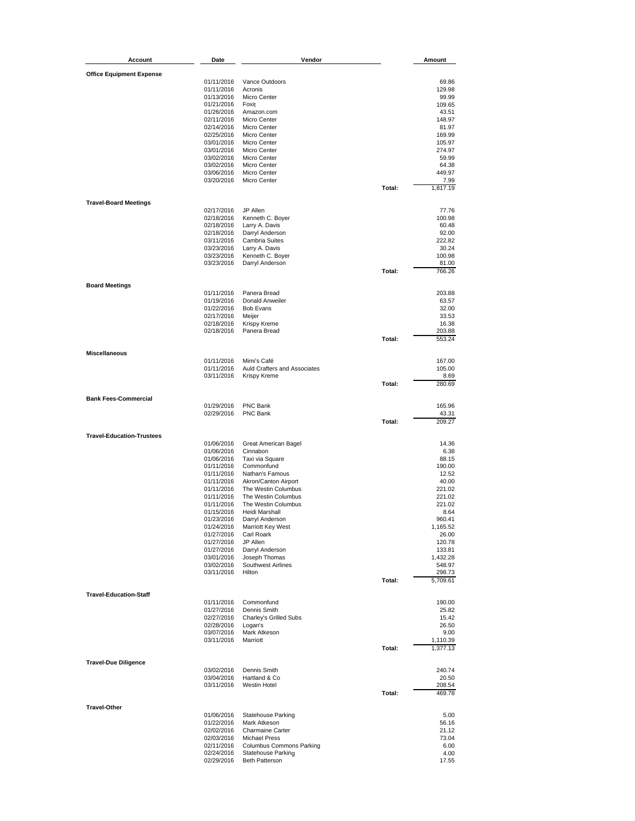| Account                          | Date                     | Vendor                                       |        | Amount             |
|----------------------------------|--------------------------|----------------------------------------------|--------|--------------------|
| <b>Office Equipment Expense</b>  |                          |                                              |        |                    |
|                                  | 01/11/2016               | Vance Outdoors                               |        | 69.86              |
|                                  | 01/11/2016               | Acronis                                      |        | 129.98             |
|                                  | 01/13/2016               | Micro Center                                 |        | 99.99              |
|                                  | 01/21/2016               | Foxit                                        |        | 109.65             |
|                                  | 01/26/2016               | Amazon.com                                   |        | 43.51              |
|                                  | 02/11/2016               | Micro Center                                 |        | 148.97             |
|                                  | 02/14/2016               | Micro Center                                 |        | 81.97              |
|                                  | 02/25/2016               | Micro Center                                 |        | 169.99             |
|                                  | 03/01/2016               | Micro Center                                 |        | 105.97             |
|                                  | 03/01/2016<br>03/02/2016 | <b>Micro Center</b><br>Micro Center          |        | 274.97<br>59.99    |
|                                  | 03/02/2016               | Micro Center                                 |        | 64.38              |
|                                  | 03/06/2016               | Micro Center                                 |        | 449.97             |
|                                  | 03/20/2016               | Micro Center                                 |        | 7.99               |
|                                  |                          |                                              | Total: | 1,817.19           |
|                                  |                          |                                              |        |                    |
| <b>Travel-Board Meetings</b>     |                          |                                              |        |                    |
|                                  | 02/17/2016               | JP Allen                                     |        | 77.76              |
|                                  | 02/18/2016<br>02/18/2016 | Kenneth C. Boyer                             |        | 100.98<br>60.48    |
|                                  | 02/18/2016               | Larry A. Davis<br>Darryl Anderson            |        | 92.00              |
|                                  | 03/11/2016               | <b>Cambria Suites</b>                        |        | 222.82             |
|                                  | 03/23/2016               | Larry A. Davis                               |        | 30.24              |
|                                  | 03/23/2016               | Kenneth C. Boyer                             |        | 100.98             |
|                                  | 03/23/2016               | Darryl Anderson                              |        | 81.00              |
|                                  |                          |                                              | Total: | 766.26             |
|                                  |                          |                                              |        |                    |
| <b>Board Meetings</b>            |                          | Panera Bread                                 |        |                    |
|                                  | 01/11/2016               | Donald Anweiler                              |        | 203.88             |
|                                  | 01/19/2016<br>01/22/2016 | <b>Bob Evans</b>                             |        | 63.57<br>32.00     |
|                                  | 02/17/2016               | Meijer                                       |        | 33.53              |
|                                  | 02/18/2016               | Krispy Kreme                                 |        | 16.38              |
|                                  | 02/18/2016               | Panera Bread                                 |        | 203.88             |
|                                  |                          |                                              | Total: | 553.24             |
|                                  |                          |                                              |        |                    |
| <b>Miscellaneous</b>             |                          |                                              |        |                    |
|                                  | 01/11/2016               | Mimi's Café                                  |        | 167.00             |
|                                  | 01/11/2016<br>03/11/2016 | Auld Crafters and Associates<br>Krispy Kreme |        | 105.00<br>8.69     |
|                                  |                          |                                              | Total: | 280.69             |
|                                  |                          |                                              |        |                    |
| <b>Bank Fees-Commercial</b>      |                          |                                              |        |                    |
|                                  | 01/29/2016               | PNC Bank                                     |        | 165.96             |
|                                  | 02/29/2016               | PNC Bank                                     |        | 43.31              |
|                                  |                          |                                              | Total: | 209.27             |
| <b>Travel-Education-Trustees</b> |                          |                                              |        |                    |
|                                  | 01/06/2016               | Great American Bagel                         |        | 14.36              |
|                                  | 01/06/2016               | Cinnabon                                     |        | 6.38               |
|                                  | 01/06/2016               | Taxi via Square                              |        | 88.15              |
|                                  | 01/11/2016               | Commonfund                                   |        | 190.00             |
|                                  | 01/11/2016               | Nathan's Famous                              |        | 12.52              |
|                                  | 01/11/2016               | Akron/Canton Airport                         |        | 40.00              |
|                                  | 01/11/2016               | The Westin Columbus                          |        | 221.02             |
|                                  | 01/11/2016               | The Westin Columbus                          |        | 221.02             |
|                                  | 01/11/2016               | The Westin Columbus<br>Heidi Marshall        |        | 221.02<br>8.64     |
|                                  | 01/15/2016               |                                              |        |                    |
|                                  | 01/23/2016<br>01/24/2016 | Darryl Anderson<br><b>Marriott Key West</b>  |        | 960.41<br>1,165.52 |
|                                  | 01/27/2016               | Carl Roark                                   |        | 26.00              |
|                                  | 01/27/2016               | JP Allen                                     |        | 120.78             |
|                                  | 01/27/2016               | Darryl Anderson                              |        | 133.81             |
|                                  | 03/01/2016               | Joseph Thomas                                |        | 1,432.28           |
|                                  | 03/02/2016               | Southwest Airlines                           |        | 548.97             |
|                                  | 03/11/2016               | Hilton                                       |        | 298.73             |
|                                  |                          |                                              | Total: | 5,709.61           |
| <b>Travel-Education-Staff</b>    |                          |                                              |        |                    |
|                                  | 01/11/2016               | Commonfund                                   |        | 190.00             |
|                                  | 01/27/2016               | Dennis Smith                                 |        | 25.82              |
|                                  | 02/27/2016               | Charley's Grilled Subs                       |        | 15.42              |
|                                  | 02/28/2016               | Logan's                                      |        | 26.50              |
|                                  | 03/07/2016               | Mark Atkeson                                 |        | 9.00               |
|                                  | 03/11/2016               | Marriott                                     |        | 1,110.39           |
|                                  |                          |                                              | Total: | 1,377.13           |
| <b>Travel-Due Diligence</b>      |                          |                                              |        |                    |
|                                  | 03/02/2016               | Dennis Smith                                 |        | 240.74             |
|                                  | 03/04/2016               | Hartland & Co                                |        | 20.50              |
|                                  | 03/11/2016               | Westin Hotel                                 |        | 208.54             |
|                                  |                          |                                              | Total: | 469.78             |
|                                  |                          |                                              |        |                    |
| <b>Travel-Other</b>              |                          |                                              |        |                    |
|                                  | 01/06/2016               | Statehouse Parking                           |        | 5.00               |
|                                  | 01/22/2016               | Mark Atkeson                                 |        | 56.16              |
|                                  | 02/02/2016<br>02/03/2016 | Charmaine Carter<br><b>Michael Press</b>     |        | 21.12<br>73.04     |
|                                  | 02/11/2016               | <b>Columbus Commons Parking</b>              |        | 6.00               |
|                                  | 02/24/2016               | Statehouse Parking                           |        | 4.00               |
|                                  | 02/29/2016               | <b>Beth Patterson</b>                        |        | 17.55              |
|                                  |                          |                                              |        |                    |